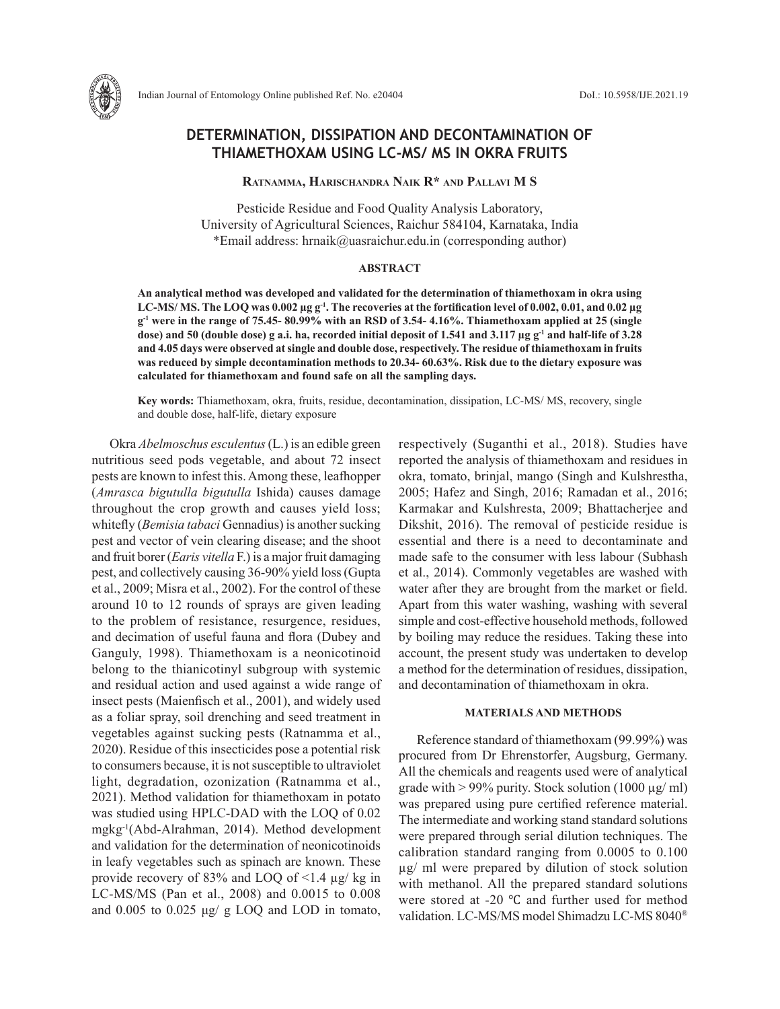

# **DETERMINATION, DISSIPATION AND DECONTAMINATION OF THIAMETHOXAM USING LC-MS/ MS IN OKRA FRUITS**

**Ratnamma, Harischandra Naik R\* and Pallavi M S** 

Pesticide Residue and Food Quality Analysis Laboratory, University of Agricultural Sciences, Raichur 584104, Karnataka, India \*Email address: hrnaik@uasraichur.edu.in (corresponding author)

### **ABSTRACT**

**An analytical method was developed and validated for the determination of thiamethoxam in okra using LC-MS/ MS. The LOQ was 0.002 µg g-1. The recoveries at the fortification level of 0.002, 0.01, and 0.02 µg g-1 were in the range of 75.45- 80.99% with an RSD of 3.54- 4.16%. Thiamethoxam applied at 25 (single**  dose) and 50 (double dose) g a.i. ha, recorded initial deposit of 1.541 and 3.117 µg g<sup>-1</sup> and half-life of 3.28 **and 4.05 days were observed at single and double dose, respectively. The residue of thiamethoxam in fruits was reduced by simple decontamination methods to 20.34- 60.63%. Risk due to the dietary exposure was calculated for thiamethoxam and found safe on all the sampling days.** 

**Key words:** Thiamethoxam, okra, fruits, residue, decontamination, dissipation, LC-MS/ MS, recovery, single and double dose, half-life, dietary exposure

Okra *Abelmoschus esculentus* (L.) is an edible green nutritious seed pods vegetable, and about 72 insect pests are known to infest this. Among these, leafhopper (*Amrasca bigutulla bigutulla* Ishida) causes damage throughout the crop growth and causes yield loss; whitefly (*Bemisia tabaci* Gennadius) is another sucking pest and vector of vein clearing disease; and the shoot and fruit borer (*Earis vitella* F.) is a major fruit damaging pest, and collectively causing 36-90% yield loss (Gupta et al., 2009; Misra et al., 2002). For the control of these around 10 to 12 rounds of sprays are given leading to the problem of resistance, resurgence, residues, and decimation of useful fauna and flora (Dubey and Ganguly, 1998). Thiamethoxam is a neonicotinoid belong to the thianicotinyl subgroup with systemic and residual action and used against a wide range of insect pests (Maienfisch et al., 2001), and widely used as a foliar spray, soil drenching and seed treatment in vegetables against sucking pests (Ratnamma et al., 2020). Residue of this insecticides pose a potential risk to consumers because, it is not susceptible to ultraviolet light, degradation, ozonization (Ratnamma et al., 2021). Method validation for thiamethoxam in potato was studied using HPLC-DAD with the LOQ of 0.02 mgkg-1(Abd-Alrahman, 2014). Method development and validation for the determination of neonicotinoids in leafy vegetables such as spinach are known. These provide recovery of 83% and LOQ of <1.4 µg/ kg in LC-MS/MS (Pan et al., 2008) and 0.0015 to 0.008 and 0.005 to 0.025 μg/ g LOQ and LOD in tomato,

respectively (Suganthi et al., 2018). Studies have reported the analysis of thiamethoxam and residues in okra, tomato, brinjal, mango (Singh and Kulshrestha, 2005; Hafez and Singh, 2016; Ramadan et al., 2016; Karmakar and Kulshresta, 2009; Bhattacherjee and Dikshit, 2016). The removal of pesticide residue is essential and there is a need to decontaminate and made safe to the consumer with less labour (Subhash et al., 2014). Commonly vegetables are washed with water after they are brought from the market or field. Apart from this water washing, washing with several simple and cost-effective household methods, followed by boiling may reduce the residues. Taking these into account, the present study was undertaken to develop a method for the determination of residues, dissipation, and decontamination of thiamethoxam in okra.

# **MATERIALS AND METHODS**

Reference standard of thiamethoxam (99.99%) was procured from Dr Ehrenstorfer, Augsburg, Germany. All the chemicals and reagents used were of analytical grade with > 99% purity. Stock solution (1000 µg/ ml) was prepared using pure certified reference material. The intermediate and working stand standard solutions were prepared through serial dilution techniques. The calibration standard ranging from 0.0005 to 0.100 µg/ ml were prepared by dilution of stock solution with methanol. All the prepared standard solutions were stored at -20 ℃ and further used for method validation. LC-MS/MS model Shimadzu LC-MS 8040®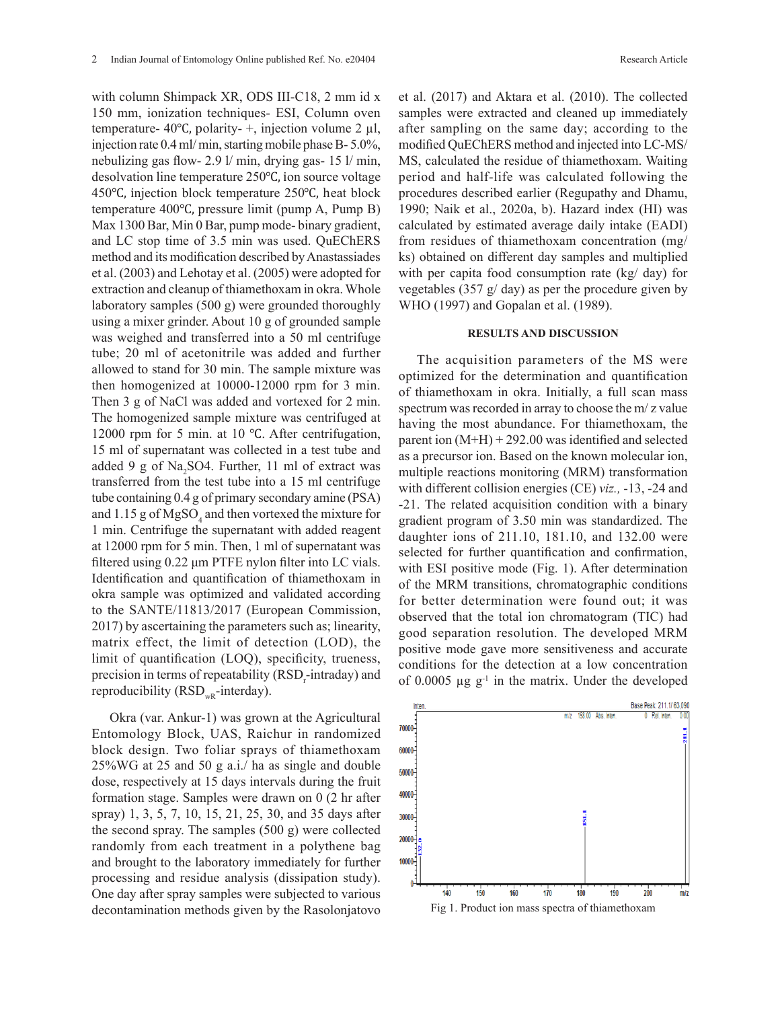with column Shimpack XR, ODS III-C18, 2 mm id x 150 mm, ionization techniques- ESI, Column oven temperature- 40 $\degree$ C, polarity- +, injection volume 2 µl, injection rate 0.4 ml/ min, starting mobile phase B- 5.0%, nebulizing gas flow- 2.9 l/ min, drying gas- 15 l/ min, desolvation line temperature 250℃, ion source voltage 450℃, injection block temperature 250℃, heat block temperature 400℃, pressure limit (pump A, Pump B) Max 1300 Bar, Min 0 Bar, pump mode- binary gradient, and LC stop time of 3.5 min was used. QuEChERS method and its modification described by Anastassiades et al. (2003) and Lehotay et al. (2005) were adopted for extraction and cleanup of thiamethoxam in okra. Whole laboratory samples (500 g) were grounded thoroughly using a mixer grinder. About 10 g of grounded sample was weighed and transferred into a 50 ml centrifuge tube; 20 ml of acetonitrile was added and further allowed to stand for 30 min. The sample mixture was then homogenized at 10000-12000 rpm for 3 min. Then 3 g of NaCl was added and vortexed for 2 min. The homogenized sample mixture was centrifuged at 12000 rpm for 5 min. at 10 ℃. After centrifugation, 15 ml of supernatant was collected in a test tube and added 9 g of Na<sub>2</sub>SO4. Further, 11 ml of extract was transferred from the test tube into a 15 ml centrifuge tube containing 0.4 g of primary secondary amine (PSA) and  $1.15$  g of  $MgSO_4$  and then vortexed the mixture for 1 min. Centrifuge the supernatant with added reagent at 12000 rpm for 5 min. Then, 1 ml of supernatant was filtered using 0.22 μm PTFE nylon filter into LC vials. Identification and quantification of thiamethoxam in okra sample was optimized and validated according to the SANTE/11813/2017 (European Commission, 2017) by ascertaining the parameters such as; linearity, matrix effect, the limit of detection (LOD), the limit of quantification (LOQ), specificity, trueness, precision in terms of repeatability (RSD<sub>r</sub>-intraday) and reproducibility ( $RSD<sub>WR</sub>$ -interday).

Okra (var. Ankur-1) was grown at the Agricultural Entomology Block, UAS, Raichur in randomized block design. Two foliar sprays of thiamethoxam 25%WG at 25 and 50 g a.i./ ha as single and double dose, respectively at 15 days intervals during the fruit formation stage. Samples were drawn on 0 (2 hr after spray) 1, 3, 5, 7, 10, 15, 21, 25, 30, and 35 days after the second spray. The samples (500 g) were collected randomly from each treatment in a polythene bag and brought to the laboratory immediately for further processing and residue analysis (dissipation study). One day after spray samples were subjected to various One day after spray samples were subjected to various decontamination methods given by the Rasolonjatovo et al. (2017) and Aktara et al. (2010). The collected samples were extracted and cleaned up immediately after sampling on the same day; according to the modified QuEChERS method and injected into LC-MS/ MS, calculated the residue of thiamethoxam. Waiting period and half-life was calculated following the procedures described earlier (Regupathy and Dhamu, 1990; Naik et al., 2020a, b). Hazard index (HI) was calculated by estimated average daily intake (EADI) from residues of thiamethoxam concentration (mg/ ks) obtained on different day samples and multiplied with per capita food consumption rate (kg/ day) for vegetables (357 g/ day) as per the procedure given by WHO (1997) and Gopalan et al. (1989).

# **RESULTS AND DISCUSSION**

The acquisition parameters of the MS were optimized for the determination and quantification of thiamethoxam in okra. Initially, a full scan mass spectrum was recorded in array to choose the m/ z value having the most abundance. For thiamethoxam, the parent ion  $(M+H) + 292.00$  was identified and selected as a precursor ion. Based on the known molecular ion, multiple reactions monitoring (MRM) transformation with different collision energies (CE) *viz.,* -13, -24 and -21. The related acquisition condition with a binary gradient program of 3.50 min was standardized. The daughter ions of 211.10, 181.10, and 132.00 were selected for further quantification and confirmation, with ESI positive mode (Fig. 1). After determination of the MRM transitions, chromatographic conditions for better determination were found out; it was observed that the total ion chromatogram (TIC) had good separation resolution. The developed MRM positive mode gave more sensitiveness and accurate conditions for the detection at a low concentration of  $0.0005 \mu g g^{-1}$  in the matrix. Under the developed

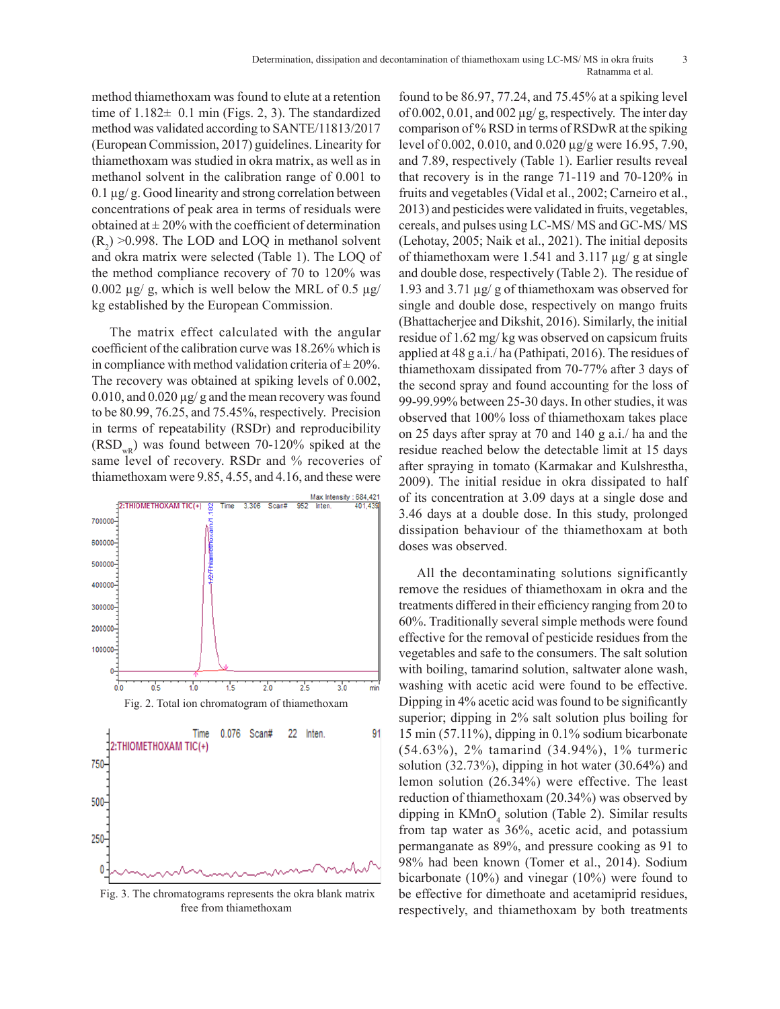method thiamethoxam was found to elute at a retention time of  $1.182 \pm 0.1$  min (Figs. 2, 3). The standardized method was validated according to SANTE/11813/2017 (European Commission, 2017) guidelines. Linearity for thiamethoxam was studied in okra matrix, as well as in methanol solvent in the calibration range of 0.001 to 0.1 µg/ g. Good linearity and strong correlation between concentrations of peak area in terms of residuals were obtained at  $\pm 20\%$  with the coefficient of determination  $(R_2) > 0.998$ . The LOD and LOQ in methanol solvent and okra matrix were selected (Table 1). The LOQ of the method compliance recovery of 70 to 120% was  $0.002 \mu$ g, which is well below the MRL of 0.5  $\mu$ g/ kg established by the European Commission.

The matrix effect calculated with the angular coefficient of the calibration curve was 18.26% which is in compliance with method validation criteria of  $\pm 20\%$ . The recovery was obtained at spiking levels of 0.002, 0.010, and 0.020 µg/ g and the mean recovery was found to be 80.99, 76.25, and 75.45%, respectively. Precision in terms of repeatability (RSDr) and reproducibility  $(RSD<sub>wB</sub>)$  was found between 70-120% spiked at the same level of recovery. RSDr and % recoveries of thiamethoxam were 9.85, 4.55, and 4.16, and these were <sup>1</sup><sup>2</sup>



 Fig. 3. The chromatograms represents the okra blank matrix  $\frac{1}{\pi}$  free from thiamethoxam

found to be 86.97, 77.24, and 75.45% at a spiking level of 0.002, 0.01, and 002  $\mu$ g/g, respectively. The inter day comparison of % RSD in terms of RSDwR at the spiking level of 0.002, 0.010, and 0.020 µg/g were 16.95, 7.90, and 7.89, respectively (Table 1). Earlier results reveal that recovery is in the range 71-119 and 70-120% in fruits and vegetables (Vidal et al., 2002; Carneiro et al., 2013) and pesticides were validated in fruits, vegetables, cereals, and pulses using LC-MS/ MS and GC-MS/ MS (Lehotay, 2005; Naik et al., 2021). The initial deposits of thiamethoxam were 1.541 and 3.117  $\mu$ g/g at single and double dose, respectively (Table 2). The residue of 1.93 and 3.71 µg/ g of thiamethoxam was observed for single and double dose, respectively on mango fruits (Bhattacherjee and Dikshit, 2016). Similarly, the initial residue of 1.62 mg/ kg was observed on capsicum fruits applied at 48 g a.i./ ha (Pathipati, 2016). The residues of thiamethoxam dissipated from 70-77% after 3 days of the second spray and found accounting for the loss of 99-99.99% between 25-30 days. In other studies, it was observed that 100% loss of thiamethoxam takes place on 25 days after spray at 70 and 140 g a.i./ ha and the residue reached below the detectable limit at 15 days after spraying in tomato (Karmakar and Kulshrestha, 2009). The initial residue in okra dissipated to half of its concentration at 3.09 days at a single dose and 3.46 days at a double dose. In this study, prolonged dissipation behaviour of the thiamethoxam at both doses was observed.

All the decontaminating solutions significantly remove the residues of thiamethoxam in okra and the treatments differed in their efficiency ranging from 20 to 60%. Traditionally several simple methods were found effective for the removal of pesticide residues from the vegetables and safe to the consumers. The salt solution with boiling, tamarind solution, saltwater alone wash, washing with acetic acid were found to be effective. Dipping in 4% acetic acid was found to be significantly superior; dipping in 2% salt solution plus boiling for 15 min (57.11%), dipping in 0.1% sodium bicarbonate (54.63%), 2% tamarind (34.94%), 1% turmeric solution (32.73%), dipping in hot water (30.64%) and lemon solution (26.34%) were effective. The least reduction of thiamethoxam (20.34%) was observed by dipping in  $KMnO<sub>4</sub>$  solution (Table 2). Similar results from tap water as 36%, acetic acid, and potassium permanganate as 89%, and pressure cooking as 91 to 98% had been known (Tomer et al., 2014). Sodium bicarbonate (10%) and vinegar (10%) were found to be effective for dimethoate and acetamiprid residues, respectively, and thiamethoxam by both treatments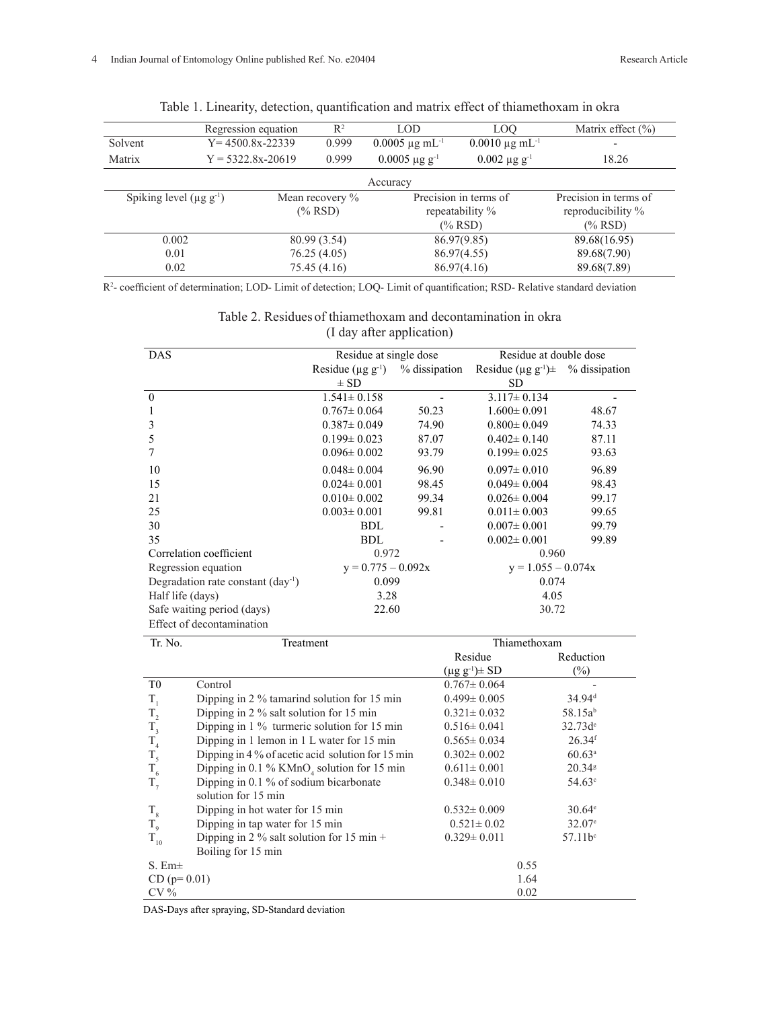|                                | Regression equation   | $R^2$<br>LOO<br>LOD |              | Matrix effect $(\% )$          |                                |                       |  |  |
|--------------------------------|-----------------------|---------------------|--------------|--------------------------------|--------------------------------|-----------------------|--|--|
| Solvent                        | $Y = 4500.8x - 22339$ |                     | 0.999        | $0.0005 \mu g \text{ mL}^{-1}$ | $0.0010 \mu g \text{ mL}^{-1}$ |                       |  |  |
| Matrix                         | $Y = 5322.8x - 20619$ |                     | 0.999        | $0.0005 \mu g g^{-1}$          | $0.002 \mu g g^{-1}$           | 18.26                 |  |  |
|                                | Accuracy              |                     |              |                                |                                |                       |  |  |
| Spiking level $(\mu g g^{-1})$ |                       | Mean recovery %     |              | Precision in terms of          |                                | Precision in terms of |  |  |
|                                |                       | $(\%$ RSD)          |              | repeatability %                |                                | reproducibility %     |  |  |
|                                |                       |                     |              |                                | $(\%$ RSD)                     | $(\%$ RSD)            |  |  |
| 0.002                          |                       |                     | 80.99 (3.54) |                                | 86.97(9.85)                    | 89.68(16.95)          |  |  |
| 0.01                           |                       | 76.25(4.05)         |              |                                | 86.97(4.55)                    | 89.68(7.90)           |  |  |
| 0.02                           |                       | 75.45 (4.16)        |              | 86.97(4.16)                    |                                | 89.68(7.89)           |  |  |

Table 1. Linearity, detection, quantification and matrix effect of thiamethoxam in okra

R2 - coefficient of determination; LOD- Limit of detection; LOQ- Limit of quantification; RSD- Relative standard deviation

| Table 2. Residues of thiamethoxam and decontamination in okra |  |
|---------------------------------------------------------------|--|
| (I day after application)                                     |  |

| <b>DAS</b>                                    | Residue at single dose<br>Residue at double dose |                      |                                                         |                      |  |  |
|-----------------------------------------------|--------------------------------------------------|----------------------|---------------------------------------------------------|----------------------|--|--|
|                                               | Residue ( $\mu$ g g <sup>-1</sup> )              | % dissipation        | Residue ( $\mu$ g g <sup>-1</sup> ) $\pm$ % dissipation |                      |  |  |
|                                               | $\pm$ SD                                         |                      | <b>SD</b>                                               |                      |  |  |
| $\theta$                                      | $1.541 \pm 0.158$                                |                      | $3.117 \pm 0.134$                                       |                      |  |  |
| 1                                             | $0.767 \pm 0.064$                                | 50.23                | $1.600 \pm 0.091$                                       | 48.67                |  |  |
| 3                                             | $0.387 \pm 0.049$                                | 74.90                | $0.800 \pm 0.049$                                       | 74.33                |  |  |
| 5                                             | $0.199 \pm 0.023$                                | 87.07                | $0.402 \pm 0.140$                                       | 87.11                |  |  |
| 7                                             | $0.096 \pm 0.002$                                | 93.79                | $0.199 \pm 0.025$                                       | 93.63                |  |  |
| 10                                            | $0.048 \pm 0.004$                                | 96.90                | $0.097 \pm 0.010$                                       | 96.89                |  |  |
| 15                                            | $0.024 \pm 0.001$                                | 98.45                | $0.049 \pm 0.004$                                       | 98.43                |  |  |
| 21                                            | $0.010 \pm 0.002$                                | 99.34                | $0.026 \pm 0.004$                                       | 99.17                |  |  |
| 25                                            | $0.003 \pm 0.001$                                | 99.81                | $0.011 \pm 0.003$                                       | 99.65                |  |  |
| 30                                            | <b>BDL</b>                                       |                      | $0.007 \pm 0.001$                                       | 99.79                |  |  |
| 35                                            | <b>BDL</b>                                       |                      | $0.002 \pm 0.001$                                       | 99.89                |  |  |
| Correlation coefficient                       | 0.972                                            |                      | 0.960                                                   |                      |  |  |
| Regression equation                           |                                                  | $y = 0.775 - 0.092x$ |                                                         | $y = 1.055 - 0.074x$ |  |  |
| Degradation rate constant $(\text{day}^{-1})$ | 0.099                                            |                      | 0.074                                                   |                      |  |  |
| Half life (days)                              | 3.28                                             |                      | 4.05                                                    |                      |  |  |
| Safe waiting period (days)                    | 22.60                                            |                      | 30.72                                                   |                      |  |  |
| Effect of decontamination                     |                                                  |                      |                                                         |                      |  |  |

| Tr. No.           | Treatment                                               | Thiamethoxam            |                      |  |  |
|-------------------|---------------------------------------------------------|-------------------------|----------------------|--|--|
|                   |                                                         | Residue                 | Reduction            |  |  |
|                   |                                                         | $(\mu g g^{-1}) \pm SD$ | $(\%)$               |  |  |
| T <sub>0</sub>    | Control                                                 | $0.767 \pm 0.064$       |                      |  |  |
| T,                | Dipping in 2 % tamarind solution for 15 min             | $0.499 \pm 0.005$       | $34.94$ <sup>d</sup> |  |  |
| $\rm T_{_2}$      | Dipping in 2 % salt solution for 15 min                 | $0.321 \pm 0.032$       | 58.15ab              |  |  |
| $\rm T_{_3}$      | Dipping in $1\%$ turmeric solution for $15 \text{ min}$ | $0.516 \pm 0.041$       | $32.73d^e$           |  |  |
|                   | Dipping in 1 lemon in 1 L water for 15 min              | $0.565 \pm 0.034$       | $26.34$ <sup>f</sup> |  |  |
| $\frac{T_4}{T_5}$ | Dipping in 4 % of acetic acid solution for 15 min       | $0.302 \pm 0.002$       | $60.63^a$            |  |  |
| $T_{6}$           | Dipping in 0.1 % $KMnO4$ solution for 15 min            | $0.611 \pm 0.001$       | $20.34$ <sup>g</sup> |  |  |
| $T_{7}$           | Dipping in 0.1 % of sodium bicarbonate                  | $0.348 \pm 0.010$       | $54.63^{\circ}$      |  |  |
|                   | solution for 15 min                                     |                         |                      |  |  |
| $T_{\rm 8}$       | Dipping in hot water for 15 min                         | $0.532 \pm 0.009$       | $30.64^{\circ}$      |  |  |
| $T_{9}$           | Dipping in tap water for 15 min                         | $0.521 \pm 0.02$        | $32.07^{\circ}$      |  |  |
| $\rm T_{_{10}}$   | Dipping in 2 % salt solution for 15 min +               | $0.329 \pm 0.011$       | $57.11b^c$           |  |  |
|                   | Boiling for 15 min                                      |                         |                      |  |  |
| $S.$ Em $\pm$     |                                                         | 0.55                    |                      |  |  |
| $CD (p=0.01)$     |                                                         | 1.64                    |                      |  |  |
| $CV\%$            |                                                         | 0.02                    |                      |  |  |

DAS-Days after spraying, SD-Standard deviation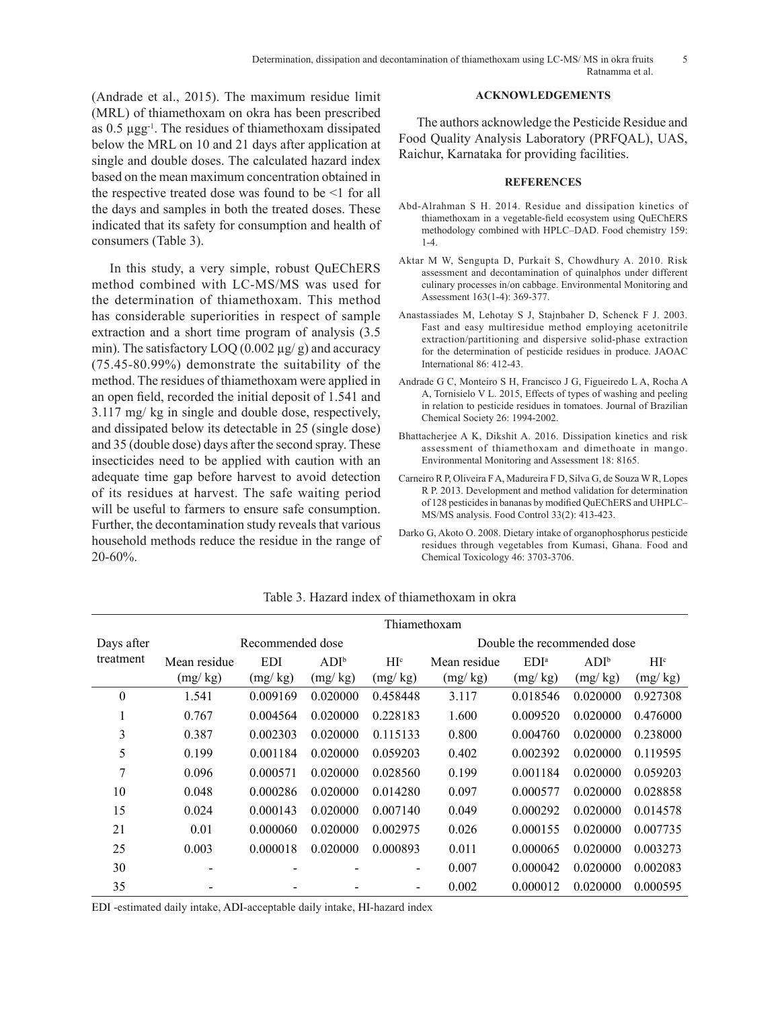(Andrade et al., 2015). The maximum residue limit (MRL) of thiamethoxam on okra has been prescribed as 0.5 µgg-1. The residues of thiamethoxam dissipated below the MRL on 10 and 21 days after application at single and double doses. The calculated hazard index based on the mean maximum concentration obtained in the respective treated dose was found to be <1 for all the days and samples in both the treated doses. These indicated that its safety for consumption and health of consumers (Table 3).

In this study, a very simple, robust QuEChERS method combined with LC-MS/MS was used for the determination of thiamethoxam. This method has considerable superiorities in respect of sample extraction and a short time program of analysis (3.5 min). The satisfactory  $LOQ(0.002 \mu g/g)$  and accuracy (75.45-80.99%) demonstrate the suitability of the method. The residues of thiamethoxam were applied in an open field, recorded the initial deposit of 1.541 and 3.117 mg/ kg in single and double dose, respectively, and dissipated below its detectable in 25 (single dose) and 35 (double dose) days after the second spray. These insecticides need to be applied with caution with an adequate time gap before harvest to avoid detection of its residues at harvest. The safe waiting period will be useful to farmers to ensure safe consumption. Further, the decontamination study reveals that various household methods reduce the residue in the range of 20-60%.

# **ACKNOWLEDGEMENTS**

The authors acknowledge the Pesticide Residue and Food Quality Analysis Laboratory (PRFQAL), UAS, Raichur, Karnataka for providing facilities.

### **REFERENCES**

- Abd-Alrahman S H. 2014. Residue and dissipation kinetics of thiamethoxam in a vegetable-field ecosystem using QuEChERS methodology combined with HPLC–DAD. Food chemistry 159: 1-4.
- Aktar M W, Sengupta D, Purkait S, Chowdhury A. 2010. Risk assessment and decontamination of quinalphos under different culinary processes in/on cabbage. Environmental Monitoring and Assessment 163(1-4): 369-377.
- Anastassiades M, Lehotay S J, Stajnbaher D, Schenck F J. 2003. Fast and easy multiresidue method employing acetonitrile extraction/partitioning and dispersive solid-phase extraction for the determination of pesticide residues in produce. JAOAC International 86: 412-43.
- Andrade G C, Monteiro S H, Francisco J G, Figueiredo L A, Rocha A A, Tornisielo V L. 2015, Effects of types of washing and peeling in relation to pesticide residues in tomatoes. Journal of Brazilian Chemical Society 26: 1994-2002.
- Bhattacherjee A K, Dikshit A. 2016. Dissipation kinetics and risk assessment of thiamethoxam and dimethoate in mango. Environmental Monitoring and Assessment 18: 8165.
- Carneiro R P, Oliveira F A, Madureira F D, Silva G, de Souza W R, Lopes R P. 2013. Development and method validation for determination of 128 pesticides in bananas by modified QuEChERS and UHPLC– MS/MS analysis. Food Control 33(2): 413-423.
- Darko G, Akoto O. 2008. Dietary intake of organophosphorus pesticide residues through vegetables from Kumasi, Ghana. Food and Chemical Toxicology 46: 3703-3706.

|              | Thiamethoxam     |          |          |                          |                             |                  |          |                  |  |
|--------------|------------------|----------|----------|--------------------------|-----------------------------|------------------|----------|------------------|--|
| Days after   | Recommended dose |          |          |                          | Double the recommended dose |                  |          |                  |  |
| treatment    | Mean residue     | EDI      | $ADI^b$  | H I <sup>c</sup>         | Mean residue                | EDI <sup>a</sup> | $ADI^b$  | H I <sup>c</sup> |  |
|              | (mg/kg)          | (mg/kg)  | (mg/kg)  | (mg/kg)                  | (mg/kg)                     | (mg/kg)          | (mg/kg)  | (mg/kg)          |  |
| $\mathbf{0}$ | 1.541            | 0.009169 | 0.020000 | 0.458448                 | 3.117                       | 0.018546         | 0.020000 | 0.927308         |  |
|              | 0.767            | 0.004564 | 0.020000 | 0.228183                 | 1.600                       | 0.009520         | 0.020000 | 0.476000         |  |
| 3            | 0.387            | 0.002303 | 0.020000 | 0.115133                 | 0.800                       | 0.004760         | 0.020000 | 0.238000         |  |
| 5            | 0.199            | 0.001184 | 0.020000 | 0.059203                 | 0.402                       | 0.002392         | 0.020000 | 0.119595         |  |
| 7            | 0.096            | 0.000571 | 0.020000 | 0.028560                 | 0.199                       | 0.001184         | 0.020000 | 0.059203         |  |
| 10           | 0.048            | 0.000286 | 0.020000 | 0.014280                 | 0.097                       | 0.000577         | 0.020000 | 0.028858         |  |
| 15           | 0.024            | 0.000143 | 0.020000 | 0.007140                 | 0.049                       | 0.000292         | 0.020000 | 0.014578         |  |
| 21           | 0.01             | 0.000060 | 0.020000 | 0.002975                 | 0.026                       | 0.000155         | 0.020000 | 0.007735         |  |
| 25           | 0.003            | 0.000018 | 0.020000 | 0.000893                 | 0.011                       | 0.000065         | 0.020000 | 0.003273         |  |
| 30           |                  |          |          | $\overline{\phantom{a}}$ | 0.007                       | 0.000042         | 0.020000 | 0.002083         |  |
| 35           |                  |          |          |                          | 0.002                       | 0.000012         | 0.020000 | 0.000595         |  |

## Table 3. Hazard index of thiamethoxam in okra

EDI -estimated daily intake, ADI-acceptable daily intake, HI-hazard index